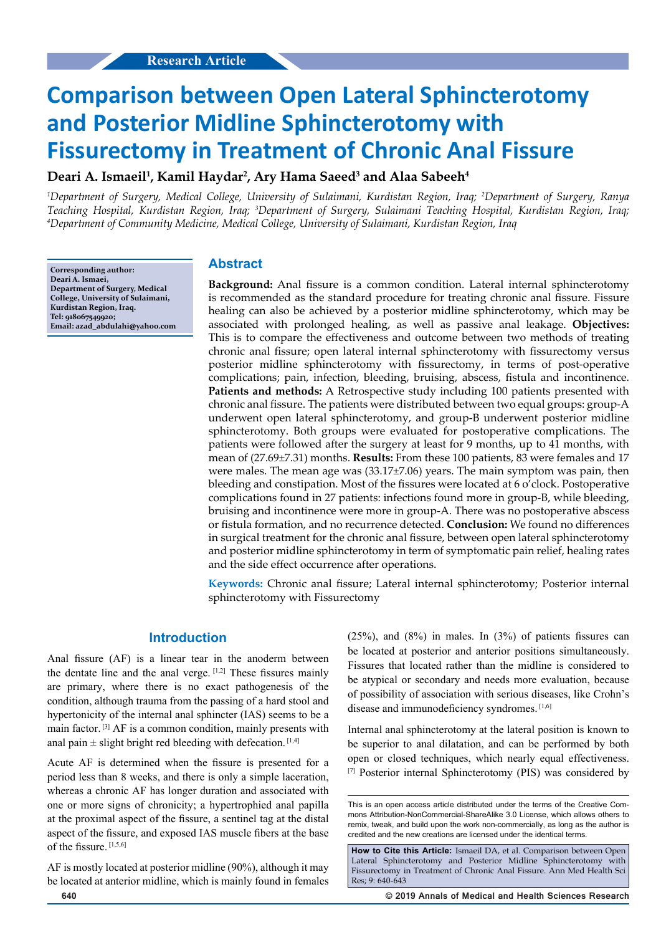# **Comparison between Open Lateral Sphincterotomy and Posterior Midline Sphincterotomy with Fissurectomy in Treatment of Chronic Anal Fissure**

# **Deari A. Ismaeil1 , Kamil Haydar2 , Ary Hama Saeed3 and Alaa Sabeeh4**

*1 Department of Surgery, Medical College, University of Sulaimani, Kurdistan Region, Iraq; 2 Department of Surgery, Ranya Teaching Hospital, Kurdistan Region, Iraq; 3 Department of Surgery, Sulaimani Teaching Hospital, Kurdistan Region, Iraq; 4 Department of Community Medicine, Medical College, University of Sulaimani, Kurdistan Region, Iraq*

**Corresponding author: Deari A. Ismaei, Department of Surgery, Medical College, University of Sulaimani, Kurdistan Region, Iraq. Tel: 918067549920; Email: azad\_abdulahi@yahoo.com**

#### **Abstract**

**Background:** Anal fissure is a common condition. Lateral internal sphincterotomy is recommended as the standard procedure for treating chronic anal fissure. Fissure healing can also be achieved by a posterior midline sphincterotomy, which may be associated with prolonged healing, as well as passive anal leakage. **Objectives:** This is to compare the effectiveness and outcome between two methods of treating chronic anal fissure; open lateral internal sphincterotomy with fissurectomy versus posterior midline sphincterotomy with fissurectomy, in terms of post-operative complications; pain, infection, bleeding, bruising, abscess, fistula and incontinence. **Patients and methods:** A Retrospective study including 100 patients presented with chronic anal fissure. The patients were distributed between two equal groups: group-A underwent open lateral sphincterotomy, and group-B underwent posterior midline sphincterotomy. Both groups were evaluated for postoperative complications. The patients were followed after the surgery at least for 9 months, up to 41 months, with mean of (27.69±7.31) months. **Results:** From these 100 patients, 83 were females and 17 were males. The mean age was (33.17±7.06) years. The main symptom was pain, then bleeding and constipation. Most of the fissures were located at 6 o'clock. Postoperative complications found in 27 patients: infections found more in group-B, while bleeding, bruising and incontinence were more in group-A. There was no postoperative abscess or fistula formation, and no recurrence detected. **Conclusion:** We found no differences in surgical treatment for the chronic anal fissure, between open lateral sphincterotomy and posterior midline sphincterotomy in term of symptomatic pain relief, healing rates and the side effect occurrence after operations.

**Keywords:** Chronic anal fissure; Lateral internal sphincterotomy; Posterior internal sphincterotomy with Fissurectomy

## **Introduction**

Anal fissure (AF) is a linear tear in the anoderm between the dentate line and the anal verge. [1,2] These fissures mainly are primary, where there is no exact pathogenesis of the condition, although trauma from the passing of a hard stool and hypertonicity of the internal anal sphincter (IAS) seems to be a main factor. [3] AF is a common condition, mainly presents with anal pain  $\pm$  slight bright red bleeding with defecation. [1,4]

Acute AF is determined when the fissure is presented for a period less than 8 weeks, and there is only a simple laceration, whereas a chronic AF has longer duration and associated with one or more signs of chronicity; a hypertrophied anal papilla at the proximal aspect of the fissure, a sentinel tag at the distal aspect of the fissure, and exposed IAS muscle fibers at the base of the fissure. [1,5,6]

AF is mostly located at posterior midline (90%), although it may be located at anterior midline, which is mainly found in females

(25%), and (8%) in males. In (3%) of patients fissures can be located at posterior and anterior positions simultaneously. Fissures that located rather than the midline is considered to be atypical or secondary and needs more evaluation, because of possibility of association with serious diseases, like Crohn's disease and immunodeficiency syndromes. [1,6]

Internal anal sphincterotomy at the lateral position is known to be superior to anal dilatation, and can be performed by both open or closed techniques, which nearly equal effectiveness. [7] Posterior internal Sphincterotomy (PIS) was considered by

This is an open access article distributed under the terms of the Creative Com‑ mons Attribution‑NonCommercial‑ShareAlike 3.0 License, which allows others to remix, tweak, and build upon the work non-commercially, as long as the author is credited and the new creations are licensed under the identical terms.

**How to Cite this Article:** Ismaeil DA, et al. Comparison between Open Lateral Sphincterotomy and Posterior Midline Sphincterotomy with Fissurectomy in Treatment of Chronic Anal Fissure. Ann Med Health Sci Res; 9: 640-643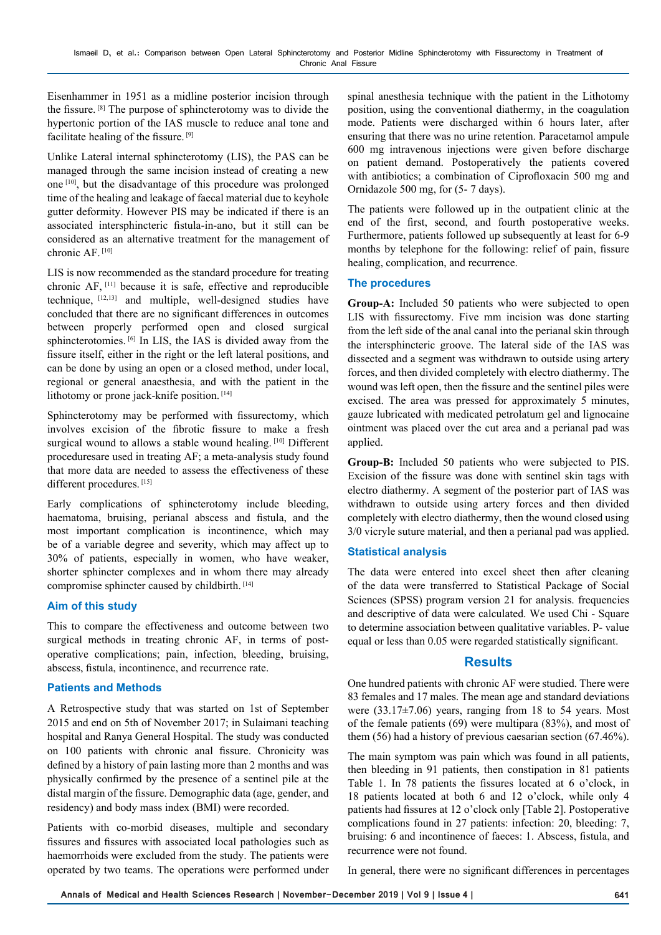Eisenhammer in 1951 as a midline posterior incision through the fissure. [8] The purpose of sphincterotomy was to divide the hypertonic portion of the IAS muscle to reduce anal tone and facilitate healing of the fissure. [9]

Unlike Lateral internal sphincterotomy (LIS), the PAS can be managed through the same incision instead of creating a new one [10], but the disadvantage of this procedure was prolonged time of the healing and leakage of faecal material due to keyhole gutter deformity. However PIS may be indicated if there is an associated intersphincteric fistula-in-ano, but it still can be considered as an alternative treatment for the management of chronic AF. [10]

LIS is now recommended as the standard procedure for treating chronic AF, [11] because it is safe, effective and reproducible technique, [12,13] and multiple, well-designed studies have concluded that there are no significant differences in outcomes between properly performed open and closed surgical sphincterotomies. <sup>[6]</sup> In LIS, the IAS is divided away from the fissure itself, either in the right or the left lateral positions, and can be done by using an open or a closed method, under local, regional or general anaesthesia, and with the patient in the lithotomy or prone jack-knife position.<sup>[14]</sup>

Sphincterotomy may be performed with fissurectomy, which involves excision of the fibrotic fissure to make a fresh surgical wound to allows a stable wound healing. [10] Different proceduresare used in treating AF; a meta-analysis study found that more data are needed to assess the effectiveness of these different procedures. [15]

Early complications of sphincterotomy include bleeding, haematoma, bruising, perianal abscess and fistula, and the most important complication is incontinence, which may be of a variable degree and severity, which may affect up to 30% of patients, especially in women, who have weaker, shorter sphincter complexes and in whom there may already compromise sphincter caused by childbirth. [14]

#### **Aim of this study**

This to compare the effectiveness and outcome between two surgical methods in treating chronic AF, in terms of postoperative complications; pain, infection, bleeding, bruising, abscess, fistula, incontinence, and recurrence rate.

#### **Patients and Methods**

A Retrospective study that was started on 1st of September 2015 and end on 5th of November 2017; in Sulaimani teaching hospital and Ranya General Hospital. The study was conducted on 100 patients with chronic anal fissure. Chronicity was defined by a history of pain lasting more than 2 months and was physically confirmed by the presence of a sentinel pile at the distal margin of the fissure. Demographic data (age, gender, and residency) and body mass index (BMI) were recorded.

Patients with co-morbid diseases, multiple and secondary fissures and fissures with associated local pathologies such as haemorrhoids were excluded from the study. The patients were operated by two teams. The operations were performed under

spinal anesthesia technique with the patient in the Lithotomy position, using the conventional diathermy, in the coagulation mode. Patients were discharged within 6 hours later, after ensuring that there was no urine retention. Paracetamol ampule 600 mg intravenous injections were given before discharge on patient demand. Postoperatively the patients covered with antibiotics; a combination of Ciprofloxacin 500 mg and Ornidazole 500 mg, for (5- 7 days).

The patients were followed up in the outpatient clinic at the end of the first, second, and fourth postoperative weeks. Furthermore, patients followed up subsequently at least for 6-9 months by telephone for the following: relief of pain, fissure healing, complication, and recurrence.

#### **The procedures**

**Group-A:** Included 50 patients who were subjected to open LIS with fissurectomy. Five mm incision was done starting from the left side of the anal canal into the perianal skin through the intersphincteric groove. The lateral side of the IAS was dissected and a segment was withdrawn to outside using artery forces, and then divided completely with electro diathermy. The wound was left open, then the fissure and the sentinel piles were excised. The area was pressed for approximately 5 minutes, gauze lubricated with medicated petrolatum gel and lignocaine ointment was placed over the cut area and a perianal pad was applied.

**Group-B:** Included 50 patients who were subjected to PIS. Excision of the fissure was done with sentinel skin tags with electro diathermy. A segment of the posterior part of IAS was withdrawn to outside using artery forces and then divided completely with electro diathermy, then the wound closed using 3/0 vicryle suture material, and then a perianal pad was applied.

## **Statistical analysis**

The data were entered into excel sheet then after cleaning of the data were transferred to Statistical Package of Social Sciences (SPSS) program version 21 for analysis. frequencies and descriptive of data were calculated. We used Chi - Square to determine association between qualitative variables. P- value equal or less than 0.05 were regarded statistically significant.

## **Results**

One hundred patients with chronic AF were studied. There were 83 females and 17 males. The mean age and standard deviations were  $(33.17\pm7.06)$  years, ranging from 18 to 54 years. Most of the female patients (69) were multipara (83%), and most of them (56) had a history of previous caesarian section (67.46%).

The main symptom was pain which was found in all patients, then bleeding in 91 patients, then constipation in 81 patients Table 1. In 78 patients the fissures located at 6 o'clock, in 18 patients located at both 6 and 12 o'clock, while only 4 patients had fissures at 12 o'clock only [Table 2]. Postoperative complications found in 27 patients: infection: 20, bleeding: 7, bruising: 6 and incontinence of faeces: 1. Abscess, fistula, and recurrence were not found.

In general, there were no significant differences in percentages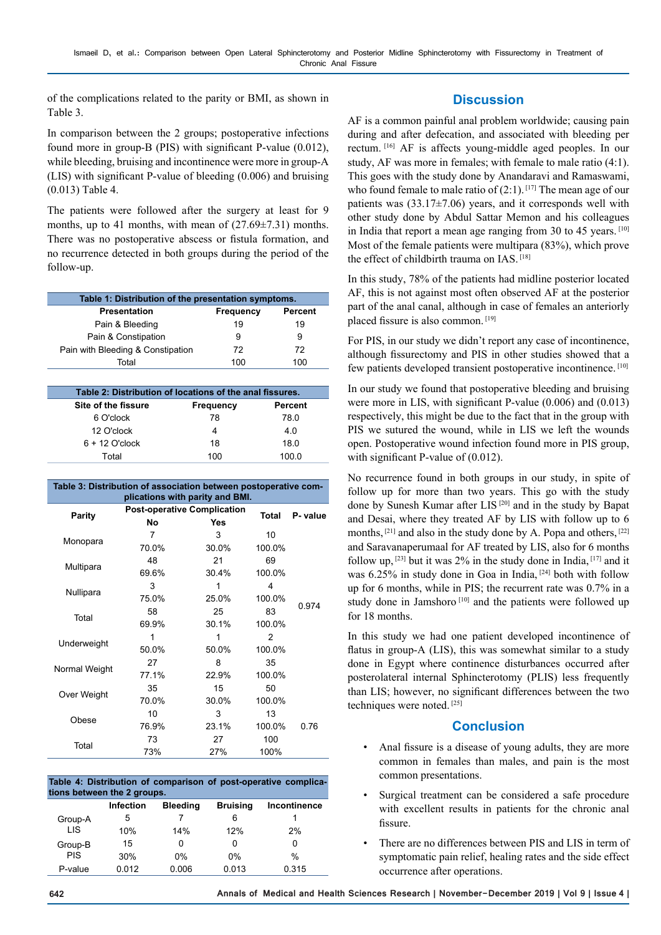of the complications related to the parity or BMI, as shown in Table 3.

In comparison between the 2 groups; postoperative infections found more in group-B (PIS) with significant P-value (0.012), while bleeding, bruising and incontinence were more in group-A (LIS) with significant P-value of bleeding (0.006) and bruising (0.013) Table 4.

The patients were followed after the surgery at least for 9 months, up to 41 months, with mean of  $(27.69\pm7.31)$  months. There was no postoperative abscess or fistula formation, and no recurrence detected in both groups during the period of the follow-up.

| Table 1: Distribution of the presentation symptoms. |           |         |  |  |
|-----------------------------------------------------|-----------|---------|--|--|
| <b>Presentation</b>                                 | Frequency | Percent |  |  |
| Pain & Bleeding                                     | 19        | 19      |  |  |
| Pain & Constipation                                 | 9         | 9       |  |  |
| Pain with Bleeding & Constipation                   | 72        | 72      |  |  |
| Total                                               | 100       | 100     |  |  |

| Table 2: Distribution of locations of the anal fissures. |           |         |  |  |
|----------------------------------------------------------|-----------|---------|--|--|
| Site of the fissure                                      | Frequency | Percent |  |  |
| 6 O'clock                                                | 78        | 78.0    |  |  |
| 12 O'clock                                               |           | 4.0     |  |  |
| $6 + 12$ O'clock                                         | 18        | 18 O    |  |  |
| Total                                                    | 100       | 100 O   |  |  |

| Table 3: Distribution of association between postoperative com-<br>plications with parity and BMI. |       |                                           |              |          |  |  |
|----------------------------------------------------------------------------------------------------|-------|-------------------------------------------|--------------|----------|--|--|
| <b>Parity</b>                                                                                      | Nο    | <b>Post-operative Complication</b><br>Yes | <b>Total</b> | P- value |  |  |
| Monopara                                                                                           | 7     | 3                                         | 10           |          |  |  |
|                                                                                                    | 70.0% | 30.0%                                     | 100.0%       |          |  |  |
| Multipara                                                                                          | 48    | 21                                        | 69           |          |  |  |
|                                                                                                    | 69.6% | 30.4%                                     | 100.0%       |          |  |  |
| Nullipara                                                                                          | 3     | 1                                         | 4            |          |  |  |
|                                                                                                    | 75.0% | 25.0%                                     | 100.0%       |          |  |  |
| Total                                                                                              | 58    | 25                                        | 83           | 0.974    |  |  |
|                                                                                                    | 69.9% | 30.1%                                     | 100.0%       |          |  |  |
| Underweight                                                                                        | 1     | 1                                         | 2            |          |  |  |
|                                                                                                    | 50.0% | 50.0%                                     | 100.0%       |          |  |  |
| Normal Weight                                                                                      | 27    | 8                                         | 35           |          |  |  |
|                                                                                                    | 77.1% | 22.9%                                     | 100.0%       |          |  |  |
| Over Weight                                                                                        | 35    | 15                                        | 50           |          |  |  |
|                                                                                                    | 70.0% | 30.0%                                     | 100.0%       |          |  |  |
| Obese                                                                                              | 10    | 3                                         | 13           |          |  |  |
|                                                                                                    | 76.9% | 23.1%                                     | 100.0%       | 0 76     |  |  |
| Total                                                                                              | 73    | 27                                        | 100          |          |  |  |
|                                                                                                    | 73%   | 27%                                       | 100%         |          |  |  |

| Table 4: Distribution of comparison of post-operative complica-<br>tions between the 2 groups. |           |                 |                 |               |  |  |
|------------------------------------------------------------------------------------------------|-----------|-----------------|-----------------|---------------|--|--|
|                                                                                                | Infection | <b>Bleeding</b> | <b>Bruising</b> | Incontinence  |  |  |
| Group-A                                                                                        | 5         |                 | 6               |               |  |  |
| <b>LIS</b>                                                                                     | 10%       | 14%             | 12%             | 2%            |  |  |
| Group-B<br><b>PIS</b>                                                                          | 15        | ŋ               | ŋ               | Ω             |  |  |
|                                                                                                | 30%       | $0\%$           | $0\%$           | $\frac{0}{0}$ |  |  |
| P-value                                                                                        | 0.012     | 0.006           | 0.013           | 0.315         |  |  |

# **Discussion**

AF is a common painful anal problem worldwide; causing pain during and after defecation, and associated with bleeding per rectum. [16] AF is affects young-middle aged peoples. In our study, AF was more in females; with female to male ratio (4:1). This goes with the study done by Anandaravi and Ramaswami, who found female to male ratio of  $(2:1)$ . [17] The mean age of our patients was  $(33.17\pm7.06)$  years, and it corresponds well with other study done by Abdul Sattar Memon and his colleagues in India that report a mean age ranging from 30 to 45 years. [10] Most of the female patients were multipara (83%), which prove the effect of childbirth trauma on IAS. [18]

In this study, 78% of the patients had midline posterior located AF, this is not against most often observed AF at the posterior part of the anal canal, although in case of females an anteriorly placed fissure is also common. [19]

For PIS, in our study we didn't report any case of incontinence, although fissurectomy and PIS in other studies showed that a few patients developed transient postoperative incontinence. [10]

In our study we found that postoperative bleeding and bruising were more in LIS, with significant P-value (0.006) and (0.013) respectively, this might be due to the fact that in the group with PIS we sutured the wound, while in LIS we left the wounds open. Postoperative wound infection found more in PIS group, with significant P-value of  $(0.012)$ .

No recurrence found in both groups in our study, in spite of follow up for more than two years. This go with the study done by Sunesh Kumar after LIS [20] and in the study by Bapat and Desai, where they treated AF by LIS with follow up to 6 months, <sup>[21]</sup> and also in the study done by A. Popa and others, <sup>[22]</sup> and Saravanaperumaal for AF treated by LIS, also for 6 months follow up,  $^{[23]}$  but it was 2% in the study done in India,  $^{[17]}$  and it was 6.25% in study done in Goa in India, [24] both with follow up for 6 months, while in PIS; the recurrent rate was 0.7% in a study done in Jamshoro<sup>[10]</sup> and the patients were followed up for 18 months.

In this study we had one patient developed incontinence of flatus in group-A (LIS), this was somewhat similar to a study done in Egypt where continence disturbances occurred after posterolateral internal Sphincterotomy (PLIS) less frequently than LIS; however, no significant differences between the two techniques were noted. [25]

# **Conclusion**

- Anal fissure is a disease of young adults, they are more common in females than males, and pain is the most common presentations.
- Surgical treatment can be considered a safe procedure with excellent results in patients for the chronic anal fissure.
- There are no differences between PIS and LIS in term of symptomatic pain relief, healing rates and the side effect occurrence after operations.